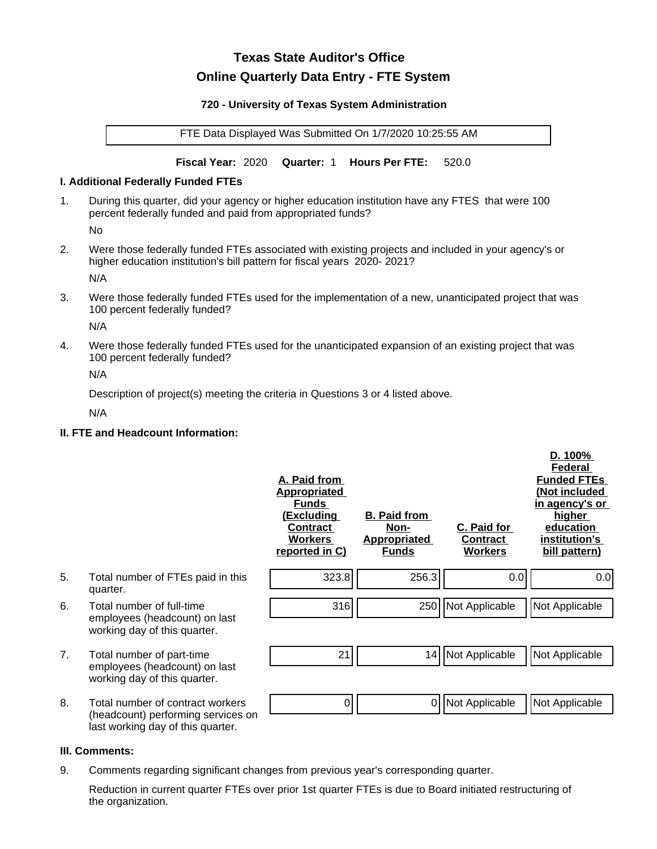# **Texas State Auditor's Office Online Quarterly Data Entry - FTE System**

#### **720 - University of Texas System Administration**

FTE Data Displayed Was Submitted On 1/7/2020 10:25:55 AM

**Fiscal Year:** 2020 **Quarter:** 1 **Hours Per FTE:** 520.0

#### **I. Additional Federally Funded FTEs**

1. During this quarter, did your agency or higher education institution have any FTES that were 100 percent federally funded and paid from appropriated funds?

No

2. Were those federally funded FTEs associated with existing projects and included in your agency's or higher education institution's bill pattern for fiscal years 2020- 2021?

N/A

3. Were those federally funded FTEs used for the implementation of a new, unanticipated project that was 100 percent federally funded?

N/A

4. Were those federally funded FTEs used for the unanticipated expansion of an existing project that was 100 percent federally funded?

N/A

Description of project(s) meeting the criteria in Questions 3 or 4 listed above.

N/A

# **II. FTE and Headcount Information:**

|    |                                                                                                             | A. Paid from<br><u>Appropriated</u><br><b>Funds</b><br><u>(Excluding</u><br><b>Contract</b><br><b>Workers</b><br>reported in C) | <b>B. Paid from</b><br>Non-<br><b>Appropriated</b><br><b>Funds</b> | C. Paid for<br>Contract<br><b>Workers</b> | D. 100%<br>Federal<br><b>Funded FTEs</b><br>(Not included<br>in agency's or<br>higher<br>education<br>institution's<br>bill pattern) |
|----|-------------------------------------------------------------------------------------------------------------|---------------------------------------------------------------------------------------------------------------------------------|--------------------------------------------------------------------|-------------------------------------------|--------------------------------------------------------------------------------------------------------------------------------------|
| 5. | Total number of FTEs paid in this<br>quarter.                                                               | 323.8                                                                                                                           | 256.3                                                              | 0.0                                       | 0.0                                                                                                                                  |
| 6. | Total number of full-time<br>employees (headcount) on last<br>working day of this quarter.                  | 316                                                                                                                             |                                                                    | 250   Not Applicable                      | Not Applicable                                                                                                                       |
| 7. | Total number of part-time<br>employees (headcount) on last<br>working day of this quarter.                  | 21                                                                                                                              | 14                                                                 | Not Applicable                            | Not Applicable                                                                                                                       |
| 8. | Total number of contract workers<br>(headcount) performing services on<br>last working day of this quarter. | 0                                                                                                                               | 0                                                                  | Not Applicable                            | Not Applicable                                                                                                                       |

## **III. Comments:**

9. Comments regarding significant changes from previous year's corresponding quarter.

Reduction in current quarter FTEs over prior 1st quarter FTEs is due to Board initiated restructuring of the organization.